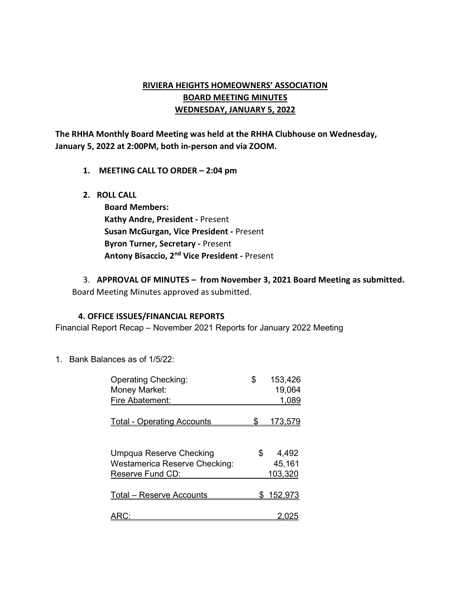# RIVIERA HEIGHTS HOMEOWNERS' ASSOCIATION BOARD MEETING MINUTES WEDNESDAY, JANUARY 5, 2022

The RHHA Monthly Board Meeting was held at the RHHA Clubhouse on Wednesday, January 5, 2022 at 2:00PM, both in-person and via ZOOM.

- 1. MEETING CALL TO ORDER 2:04 pm
- 2. ROLL CALL

Board Members: Kathy Andre, President - Present Susan McGurgan, Vice President - Present Byron Turner, Secretary - Present Antony Bisaccio, 2nd Vice President - Present

3. APPROVAL OF MINUTES – from November 3, 2021 Board Meeting as submitted. Board Meeting Minutes approved as submitted.

#### 4. OFFICE ISSUES/FINANCIAL REPORTS

Financial Report Recap – November 2021 Reports for January 2022 Meeting

1. Bank Balances as of 1/5/22:

| <b>Operating Checking:</b>           | \$  | 153,426          |
|--------------------------------------|-----|------------------|
| Money Market:                        |     | 19,064           |
| Fire Abatement:                      |     | 1,089            |
| <b>Total - Operating Accounts</b>    | S.  | <u>173,579</u>   |
| <b>Umpqua Reserve Checking</b>       | \$. | 4,492            |
| <b>Westamerica Reserve Checking:</b> |     | 45,161           |
| Reserve Fund CD:                     |     | 103,320          |
| Total – Reserve Accounts             |     | <u>\$152,973</u> |
|                                      |     |                  |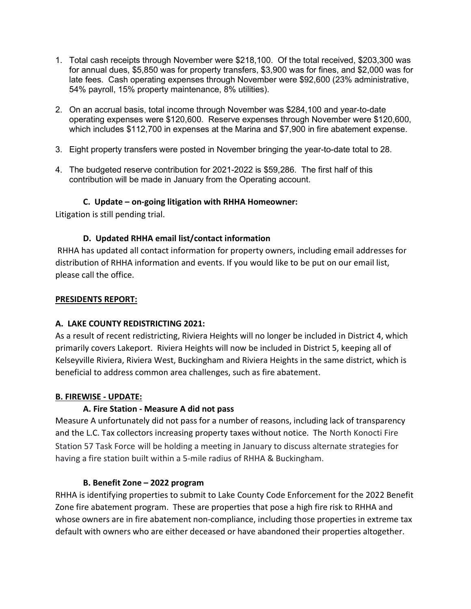- 1. Total cash receipts through November were \$218,100. Of the total received, \$203,300 was for annual dues, \$5,850 was for property transfers, \$3,900 was for fines, and \$2,000 was for late fees. Cash operating expenses through November were \$92,600 (23% administrative, 54% payroll, 15% property maintenance, 8% utilities).
- 2. On an accrual basis, total income through November was \$284,100 and year-to-date operating expenses were \$120,600. Reserve expenses through November were \$120,600, which includes \$112,700 in expenses at the Marina and \$7,900 in fire abatement expense.
- 3. Eight property transfers were posted in November bringing the year-to-date total to 28.
- 4. The budgeted reserve contribution for 2021-2022 is \$59,286. The first half of this contribution will be made in January from the Operating account.

# C. Update – on-going litigation with RHHA Homeowner:

Litigation is still pending trial.

# D. Updated RHHA email list/contact information

 RHHA has updated all contact information for property owners, including email addresses for distribution of RHHA information and events. If you would like to be put on our email list, please call the office.

### PRESIDENTS REPORT:

# A. LAKE COUNTY REDISTRICTING 2021:

As a result of recent redistricting, Riviera Heights will no longer be included in District 4, which primarily covers Lakeport. Riviera Heights will now be included in District 5, keeping all of Kelseyville Riviera, Riviera West, Buckingham and Riviera Heights in the same district, which is beneficial to address common area challenges, such as fire abatement.

# B. FIREWISE - UPDATE:

# A. Fire Station - Measure A did not pass

Measure A unfortunately did not pass for a number of reasons, including lack of transparency and the L.C. Tax collectors increasing property taxes without notice. The North Konocti Fire Station 57 Task Force will be holding a meeting in January to discuss alternate strategies for having a fire station built within a 5-mile radius of RHHA & Buckingham.

# B. Benefit Zone – 2022 program

RHHA is identifying properties to submit to Lake County Code Enforcement for the 2022 Benefit Zone fire abatement program. These are properties that pose a high fire risk to RHHA and whose owners are in fire abatement non-compliance, including those properties in extreme tax default with owners who are either deceased or have abandoned their properties altogether.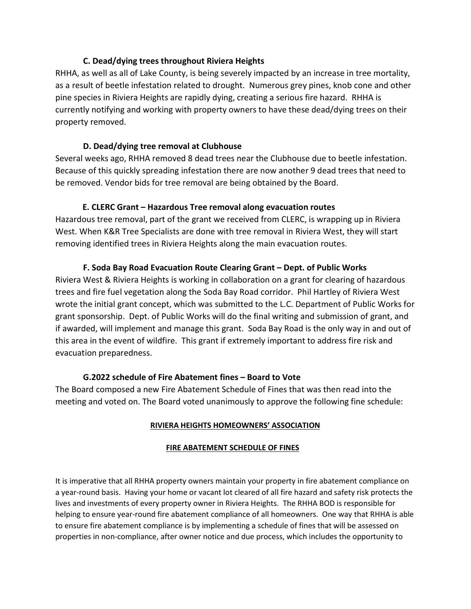### C. Dead/dying trees throughout Riviera Heights

RHHA, as well as all of Lake County, is being severely impacted by an increase in tree mortality, as a result of beetle infestation related to drought. Numerous grey pines, knob cone and other pine species in Riviera Heights are rapidly dying, creating a serious fire hazard. RHHA is currently notifying and working with property owners to have these dead/dying trees on their property removed.

### D. Dead/dying tree removal at Clubhouse

Several weeks ago, RHHA removed 8 dead trees near the Clubhouse due to beetle infestation. Because of this quickly spreading infestation there are now another 9 dead trees that need to be removed. Vendor bids for tree removal are being obtained by the Board.

### E. CLERC Grant – Hazardous Tree removal along evacuation routes

Hazardous tree removal, part of the grant we received from CLERC, is wrapping up in Riviera West. When K&R Tree Specialists are done with tree removal in Riviera West, they will start removing identified trees in Riviera Heights along the main evacuation routes.

### F. Soda Bay Road Evacuation Route Clearing Grant – Dept. of Public Works

Riviera West & Riviera Heights is working in collaboration on a grant for clearing of hazardous trees and fire fuel vegetation along the Soda Bay Road corridor. Phil Hartley of Riviera West wrote the initial grant concept, which was submitted to the L.C. Department of Public Works for grant sponsorship. Dept. of Public Works will do the final writing and submission of grant, and if awarded, will implement and manage this grant. Soda Bay Road is the only way in and out of this area in the event of wildfire. This grant if extremely important to address fire risk and evacuation preparedness.

#### G.2022 schedule of Fire Abatement fines – Board to Vote

The Board composed a new Fire Abatement Schedule of Fines that was then read into the meeting and voted on. The Board voted unanimously to approve the following fine schedule:

#### RIVIERA HEIGHTS HOMEOWNERS' ASSOCIATION

#### FIRE ABATEMENT SCHEDULE OF FINES

It is imperative that all RHHA property owners maintain your property in fire abatement compliance on a year-round basis. Having your home or vacant lot cleared of all fire hazard and safety risk protects the lives and investments of every property owner in Riviera Heights. The RHHA BOD is responsible for helping to ensure year-round fire abatement compliance of all homeowners. One way that RHHA is able to ensure fire abatement compliance is by implementing a schedule of fines that will be assessed on properties in non-compliance, after owner notice and due process, which includes the opportunity to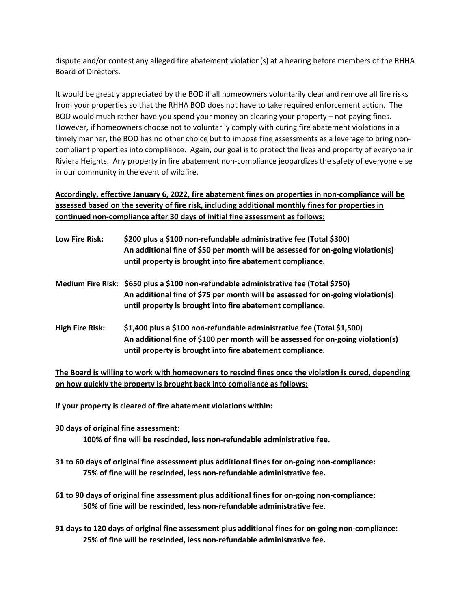dispute and/or contest any alleged fire abatement violation(s) at a hearing before members of the RHHA Board of Directors.

It would be greatly appreciated by the BOD if all homeowners voluntarily clear and remove all fire risks from your properties so that the RHHA BOD does not have to take required enforcement action. The BOD would much rather have you spend your money on clearing your property – not paying fines. However, if homeowners choose not to voluntarily comply with curing fire abatement violations in a timely manner, the BOD has no other choice but to impose fine assessments as a leverage to bring noncompliant properties into compliance. Again, our goal is to protect the lives and property of everyone in Riviera Heights. Any property in fire abatement non-compliance jeopardizes the safety of everyone else in our community in the event of wildfire.

Accordingly, effective January 6, 2022, fire abatement fines on properties in non-compliance will be assessed based on the severity of fire risk, including additional monthly fines for properties in continued non-compliance after 30 days of initial fine assessment as follows:

| Low Fire Risk:         | \$200 plus a \$100 non-refundable administrative fee (Total \$300)<br>An additional fine of \$50 per month will be assessed for on-going violation(s)<br>until property is brought into fire abatement compliance.                   |
|------------------------|--------------------------------------------------------------------------------------------------------------------------------------------------------------------------------------------------------------------------------------|
|                        | Medium Fire Risk: \$650 plus a \$100 non-refundable administrative fee (Total \$750)<br>An additional fine of \$75 per month will be assessed for on-going violation(s)<br>until property is brought into fire abatement compliance. |
| <b>High Fire Risk:</b> | \$1,400 plus a \$100 non-refundable administrative fee (Total \$1,500)<br>An additional fine of \$100 per month will be assessed for on-going violation(s)<br>until property is brought into fire abatement compliance.              |

The Board is willing to work with homeowners to rescind fines once the violation is cured, depending on how quickly the property is brought back into compliance as follows:

If your property is cleared of fire abatement violations within:

- 30 days of original fine assessment: 100% of fine will be rescinded, less non-refundable administrative fee.
- 31 to 60 days of original fine assessment plus additional fines for on-going non-compliance: 75% of fine will be rescinded, less non-refundable administrative fee.
- 61 to 90 days of original fine assessment plus additional fines for on-going non-compliance: 50% of fine will be rescinded, less non-refundable administrative fee.
- 91 days to 120 days of original fine assessment plus additional fines for on-going non-compliance: 25% of fine will be rescinded, less non-refundable administrative fee.